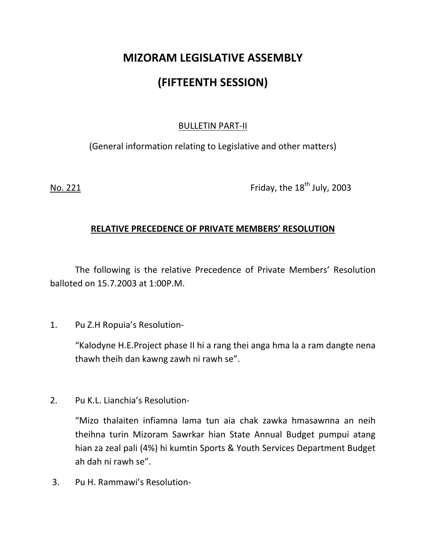# MIZORAM LEGISLATIVE ASSEMBLY (FIFTEENTH SESSION)

## BULLETIN PART-II

(General information relating to Legislative and other matters)

No. 221 **Friday, the 18<sup>th</sup> July, 2003** 

# RELATIVE PRECEDENCE OF PRIVATE MEMBERS' RESOLUTION

 The following is the relative Precedence of Private Members' Resolution balloted on 15.7.2003 at 1:00P.M.

1. Pu Z.H Ropuia's Resolution-

 "Kalodyne H.E.Project phase II hi a rang thei anga hma la a ram dangte nena thawh theih dan kawng zawh ni rawh se".

2. Pu K.L. Lianchia's Resolution-

 "Mizo thalaiten infiamna lama tun aia chak zawka hmasawnna an neih theihna turin Mizoram Sawrkar hian State Annual Budget pumpui atang hian za zeal pali (4%) hi kumtin Sports & Youth Services Department Budget ah dah ni rawh se".

3. Pu H. Rammawi's Resolution-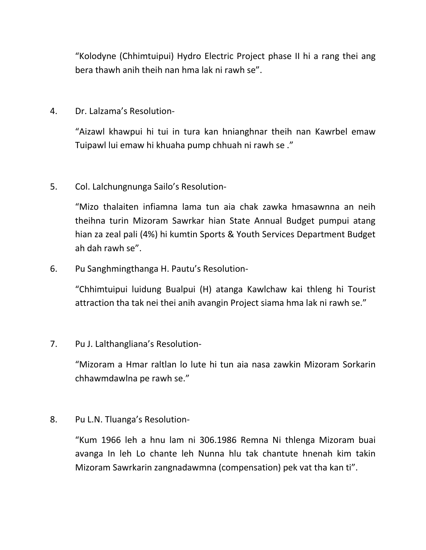"Kolodyne (Chhimtuipui) Hydro Electric Project phase II hi a rang thei ang bera thawh anih theih nan hma lak ni rawh se".

## 4. Dr. Lalzama's Resolution-

"Aizawl khawpui hi tui in tura kan hnianghnar theih nan Kawrbel emaw Tuipawl lui emaw hi khuaha pump chhuah ni rawh se ."

# 5. Col. Lalchungnunga Sailo's Resolution-

 "Mizo thalaiten infiamna lama tun aia chak zawka hmasawnna an neih theihna turin Mizoram Sawrkar hian State Annual Budget pumpui atang hian za zeal pali (4%) hi kumtin Sports & Youth Services Department Budget ah dah rawh se".

# 6. Pu Sanghmingthanga H. Pautu's Resolution-

"Chhimtuipui luidung Bualpui (H) atanga Kawlchaw kai thleng hi Tourist attraction tha tak nei thei anih avangin Project siama hma lak ni rawh se."

#### 7. Pu J. Lalthangliana's Resolution-

"Mizoram a Hmar raltlan lo lute hi tun aia nasa zawkin Mizoram Sorkarin chhawmdawlna pe rawh se."

#### 8. Pu L.N. Tluanga's Resolution-

 "Kum 1966 leh a hnu lam ni 306.1986 Remna Ni thlenga Mizoram buai avanga In leh Lo chante leh Nunna hlu tak chantute hnenah kim takin Mizoram Sawrkarin zangnadawmna (compensation) pek vat tha kan ti".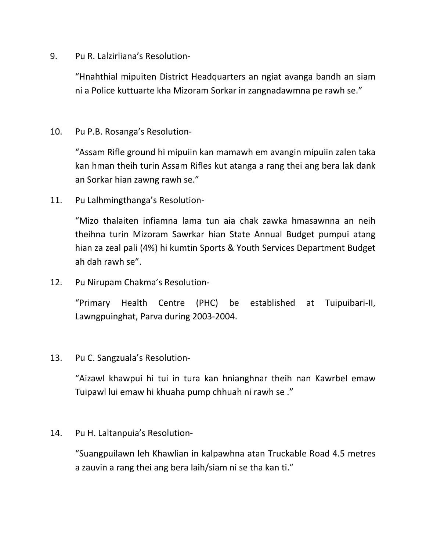9. Pu R. Lalzirliana's Resolution-

 "Hnahthial mipuiten District Headquarters an ngiat avanga bandh an siam ni a Police kuttuarte kha Mizoram Sorkar in zangnadawmna pe rawh se."

## 10. Pu P.B. Rosanga's Resolution-

 "Assam Rifle ground hi mipuiin kan mamawh em avangin mipuiin zalen taka kan hman theih turin Assam Rifles kut atanga a rang thei ang bera lak dank an Sorkar hian zawng rawh se."

11. Pu Lalhmingthanga's Resolution-

"Mizo thalaiten infiamna lama tun aia chak zawka hmasawnna an neih theihna turin Mizoram Sawrkar hian State Annual Budget pumpui atang hian za zeal pali (4%) hi kumtin Sports & Youth Services Department Budget ah dah rawh se".

12. Pu Nirupam Chakma's Resolution-

"Primary Health Centre (PHC) be established at Tuipuibari-II, Lawngpuinghat, Parva during 2003-2004.

13. Pu C. Sangzuala's Resolution-

"Aizawl khawpui hi tui in tura kan hnianghnar theih nan Kawrbel emaw Tuipawl lui emaw hi khuaha pump chhuah ni rawh se ."

#### 14. Pu H. Laltanpuia's Resolution-

"Suangpuilawn leh Khawlian in kalpawhna atan Truckable Road 4.5 metres a zauvin a rang thei ang bera laih/siam ni se tha kan ti."